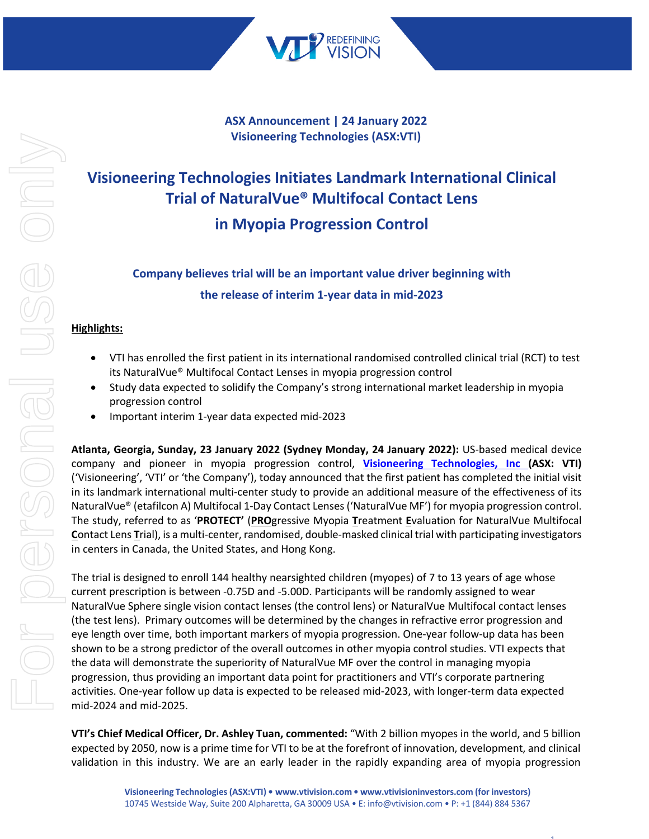

**ASX Announcement | 24 January 2022 Visioneering Technologies (ASX:VTI)**

# **Visioneering Technologies Initiates Landmark International Clinical Trial of NaturalVue® Multifocal Contact Lens in Myopia Progression Control**

# **Company believes trial will be an important value driver beginning with the release of interim 1-year data in mid-2023**

# **Highlights:**

- VTI has enrolled the first patient in its international randomised controlled clinical trial (RCT) to test its NaturalVue® Multifocal Contact Lenses in myopia progression control
- Study data expected to solidify the Company's strong international market leadership in myopia progression control
- Important interim 1-year data expected mid-2023

**Atlanta, Georgia, Sunday, 23 January 2022 (Sydney Monday, 24 January 2022):** US-based medical device company and pioneer in myopia progression control, **Visioneering Technologies, Inc (ASX: VTI)** ('Visioneering', 'VTI' or 'the Company'), today announced that the first patient has completed the initial visit in its landmark international multi-center study to provide an additional measure of the effectiveness of its NaturalVue® (etafilcon A) Multifocal 1-Day Contact Lenses ('NaturalVue MF') for myopia progression control. The study, referred to as '**PROTECT'** (**PRO**gressive Myopia **T**reatment **E**valuation for NaturalVue Multifocal **C**ontact Lens **T**rial), is a multi-center, randomised, double-masked clinical trial with participating investigators in centers in Canada, the United States, and Hong Kong.

The trial is designed to enroll 144 healthy nearsighted children (myopes) of 7 to 13 years of age whose current prescription is between -0.75D and -5.00D. Participants will be randomly assigned to wear NaturalVue Sphere single vision contact lenses (the control lens) or NaturalVue Multifocal contact lenses (the test lens). Primary outcomes will be determined by the changes in refractive error progression and eye length over time, both important markers of myopia progression. One-year follow-up data has been shown to be a strong predictor of the overall outcomes in other myopia control studies. VTI expects that the data will demonstrate the superiority of NaturalVue MF over the control in managing myopia progression, thus providing an important data point for practitioners and VTI's corporate partnering activities. One-year follow up data is expected to be released mid-2023, with longer-term data expected mid-2024 and mid-2025.

**VTI's Chief Medical Officer, Dr. Ashley Tuan, commented:** "With 2 billion myopes in the world, and 5 billion expected by 2050, now is a prime time for VTI to be at the forefront of innovation, development, and clinical validation in this industry. We are an early leader in the rapidly expanding area of myopia progression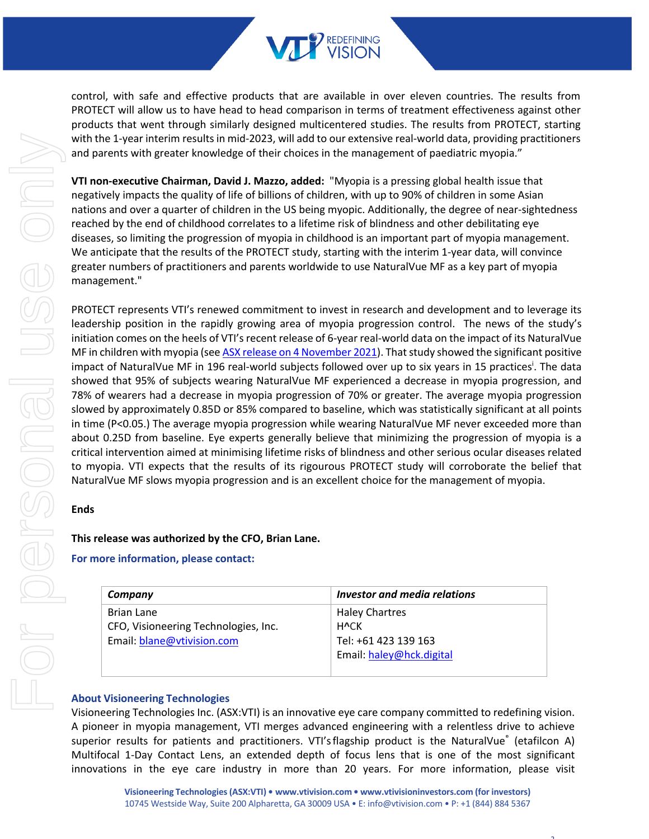

control, with safe and effective products that are available in over eleven countries. The results from PROTECT will allow us to have head to head comparison in terms of treatment effectiveness against other products that went through similarly designed multicentered studies. The results from PROTECT, starting with the 1-year interim results in mid-2023, will add to our extensive real-world data, providing practitioners and parents with greater knowledge of their choices in the management of paediatric myopia."

**VTI non-executive Chairman, David J. Mazzo, added:** "Myopia is a pressing global health issue that negatively impacts the quality of life of billions of children, with up to 90% of children in some Asian nations and over a quarter of children in the US being myopic. Additionally, the degree of near-sightedness reached by the end of childhood correlates to a lifetime risk of blindness and other debilitating eye diseases, so limiting the progression of myopia in childhood is an important part of myopia management. We anticipate that the results of the PROTECT study, starting with the interim 1-year data, will convince greater numbers of practitioners and parents worldwide to use NaturalVue MF as a key part of myopia management."

PROTECT represents VTI's renewed commitment to invest in research and development and to leverage its leadership position in the rapidly growing area of myopia progression control. The news of the study's initiation comes on the heels of VTI's recent release of 6-year real-world data on the impact of its NaturalVue MF in children with myopia (see ASX release on 4 November 2021). That study showed the significant positive impact of NaturalVue MF in 196 real-world subjects followed over up to six years in 15 practices<sup>i</sup>. The data showed that 95% of subjects wearing NaturalVue MF experienced a decrease in myopia progression, and 78% of wearers had a decrease in myopia progression of 70% or greater. The average myopia progression slowed by approximately 0.85D or 85% compared to baseline, which was statistically significant at all points in time (P<0.05.) The average myopia progression while wearing NaturalVue MF never exceeded more than about 0.25D from baseline. Eye experts generally believe that minimizing the progression of myopia is a critical intervention aimed at minimising lifetime risks of blindness and other serious ocular diseases related to myopia. VTI expects that the results of its rigourous PROTECT study will corroborate the belief that NaturalVue MF slows myopia progression and is an excellent choice for the management of myopia.

# **Ends**

# **This release was authorized by the CFO, Brian Lane.**

# **For more information, please contact:**

| Company                              | Investor and media relations |
|--------------------------------------|------------------------------|
| Brian Lane                           | <b>Haley Chartres</b>        |
| CFO, Visioneering Technologies, Inc. | <b>HvCK</b>                  |
| Email: blane@vtivision.com           | Tel: +61 423 139 163         |
|                                      | Email: haley@hck.digital     |
|                                      |                              |

# **About Visioneering Technologies**

Visioneering Technologies Inc. (ASX:VTI) is an innovative eye care company committed to redefining vision. A pioneer in myopia management, VTI merges advanced engineering with a relentless drive to achieve superior results for patients and practitioners. VTI's flagship product is the NaturalVue<sup>®</sup> (etafilcon A) Multifocal 1-Day Contact Lens, an extended depth of focus lens that is one of the most significant innovations in the eye care industry in more than 20 years. For more information, please visit